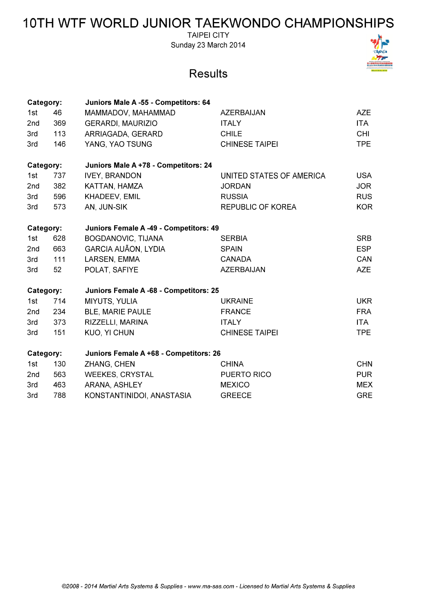**TAIPEI CITY** Sunday 23 March 2014

| Category:                                           |     | Juniors Male A -55 - Competitors: 64   |                          |            |
|-----------------------------------------------------|-----|----------------------------------------|--------------------------|------------|
| 1st                                                 | 46  | MAMMADOV, MAHAMMAD                     | AZERBAIJAN               | AZE        |
| 2nd                                                 | 369 | <b>GERARDI, MAURIZIO</b>               | <b>ITALY</b>             | <b>ITA</b> |
| 3rd                                                 | 113 | ARRIAGADA, GERARD                      | <b>CHILE</b>             | <b>CHI</b> |
| 3rd                                                 | 146 | YANG, YAO TSUNG                        | <b>CHINESE TAIPEI</b>    | <b>TPE</b> |
| Category:                                           |     | Juniors Male A +78 - Competitors: 24   |                          |            |
| 1st                                                 | 737 | <b>IVEY, BRANDON</b>                   | UNITED STATES OF AMERICA | <b>USA</b> |
| 2nd                                                 | 382 | KATTAN, HAMZA                          | <b>JORDAN</b>            | <b>JOR</b> |
| 3rd                                                 | 596 | KHADEEV, EMIL                          | <b>RUSSIA</b>            | <b>RUS</b> |
| 3rd                                                 | 573 | AN, JUN-SIK                            | <b>REPUBLIC OF KOREA</b> | <b>KOR</b> |
|                                                     |     |                                        |                          |            |
| Category:                                           |     | Juniors Female A -49 - Competitors: 49 |                          |            |
| 1st                                                 | 628 | BOGDANOVIC, TIJANA                     | <b>SERBIA</b>            | <b>SRB</b> |
| 2nd                                                 | 663 | <b>GARCIA AUÃON, LYDIA</b>             | <b>SPAIN</b>             | <b>ESP</b> |
| 3rd                                                 | 111 | LARSEN, EMMA                           | <b>CANADA</b>            | CAN        |
| 3rd                                                 | 52  | POLAT, SAFIYE                          | <b>AZERBAIJAN</b>        | <b>AZE</b> |
| Category:<br>Juniors Female A -68 - Competitors: 25 |     |                                        |                          |            |
| 1st                                                 | 714 | MIYUTS, YULIA                          | <b>UKRAINE</b>           | <b>UKR</b> |
| 2nd                                                 | 234 | <b>BLE, MARIE PAULE</b>                | <b>FRANCE</b>            | <b>FRA</b> |
| 3rd                                                 | 373 | RIZZELLI, MARINA                       | <b>ITALY</b>             | <b>ITA</b> |
| 3rd                                                 | 151 | <b>KUO, YI CHUN</b>                    | <b>CHINESE TAIPEI</b>    | <b>TPE</b> |
|                                                     |     |                                        |                          |            |
| Category:                                           |     | Juniors Female A +68 - Competitors: 26 |                          |            |
| 1st                                                 | 130 | ZHANG, CHEN                            | <b>CHINA</b>             | <b>CHN</b> |
| 2nd                                                 | 563 | <b>WEEKES, CRYSTAL</b>                 | PUERTO RICO              | <b>PUR</b> |
| 3rd                                                 | 463 | ARANA, ASHLEY                          | <b>MEXICO</b>            | <b>MEX</b> |
| 3rd                                                 | 788 | KONSTANTINIDOI, ANASTASIA              | <b>GREECE</b>            | <b>GRE</b> |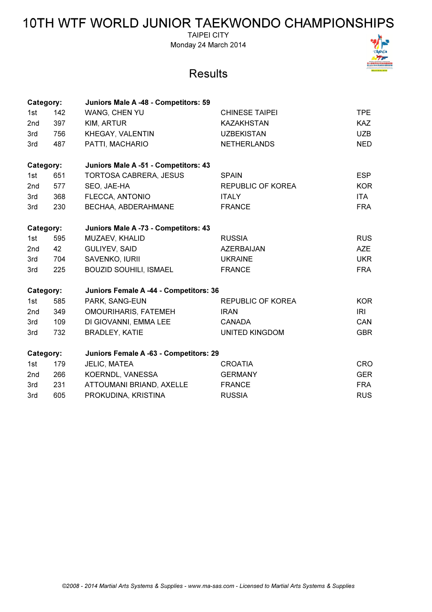TAIPEI CITY Monday 24 March 2014

| Category:                                           |     | Juniors Male A -48 - Competitors: 59   |                          |            |
|-----------------------------------------------------|-----|----------------------------------------|--------------------------|------------|
| 1st                                                 | 142 | WANG, CHEN YU                          | <b>CHINESE TAIPEI</b>    | <b>TPE</b> |
| 2 <sub>nd</sub>                                     | 397 | KIM, ARTUR                             | <b>KAZAKHSTAN</b>        | <b>KAZ</b> |
| 3rd                                                 | 756 | KHEGAY, VALENTIN                       | <b>UZBEKISTAN</b>        | <b>UZB</b> |
| 3rd                                                 | 487 | PATTI, MACHARIO                        | <b>NETHERLANDS</b>       | <b>NED</b> |
| Category:                                           |     | Juniors Male A -51 - Competitors: 43   |                          |            |
| 1st                                                 | 651 | <b>TORTOSA CABRERA, JESUS</b>          | <b>SPAIN</b>             | <b>ESP</b> |
| 2nd                                                 | 577 | SEO, JAE-HA                            | <b>REPUBLIC OF KOREA</b> | <b>KOR</b> |
| 3rd                                                 | 368 | FLECCA, ANTONIO                        | <b>ITALY</b>             | <b>ITA</b> |
| 3rd                                                 | 230 | BECHAA, ABDERAHMANE                    | <b>FRANCE</b>            | <b>FRA</b> |
| Category:                                           |     | Juniors Male A -73 - Competitors: 43   |                          |            |
| 1st                                                 | 595 | MUZAEV, KHALID                         | <b>RUSSIA</b>            | <b>RUS</b> |
| 2nd                                                 | 42  | GULIYEV, SAID                          | <b>AZERBAIJAN</b>        | <b>AZE</b> |
| 3rd                                                 | 704 | SAVENKO, IURII                         | <b>UKRAINE</b>           | <b>UKR</b> |
| 3rd                                                 | 225 | <b>BOUZID SOUHILI, ISMAEL</b>          | <b>FRANCE</b>            | <b>FRA</b> |
| Category:                                           |     | Juniors Female A -44 - Competitors: 36 |                          |            |
| 1st                                                 | 585 | PARK, SANG-EUN                         | <b>REPUBLIC OF KOREA</b> | <b>KOR</b> |
| 2 <sub>nd</sub>                                     | 349 | <b>OMOURIHARIS, FATEMEH</b>            | <b>IRAN</b>              | <b>IRI</b> |
| 3rd                                                 | 109 | DI GIOVANNI, EMMA LEE                  | <b>CANADA</b>            | CAN        |
| 3rd                                                 | 732 | <b>BRADLEY, KATIE</b>                  | <b>UNITED KINGDOM</b>    | <b>GBR</b> |
| Juniors Female A -63 - Competitors: 29<br>Category: |     |                                        |                          |            |
| 1st                                                 | 179 | JELIC, MATEA                           | <b>CROATIA</b>           | <b>CRO</b> |
| 2 <sub>nd</sub>                                     | 266 | KOERNDL, VANESSA                       | <b>GERMANY</b>           | <b>GER</b> |
| 3rd                                                 | 231 | ATTOUMANI BRIAND, AXELLE               | <b>FRANCE</b>            | <b>FRA</b> |
| 3rd                                                 | 605 | PROKUDINA, KRISTINA                    | <b>RUSSIA</b>            | <b>RUS</b> |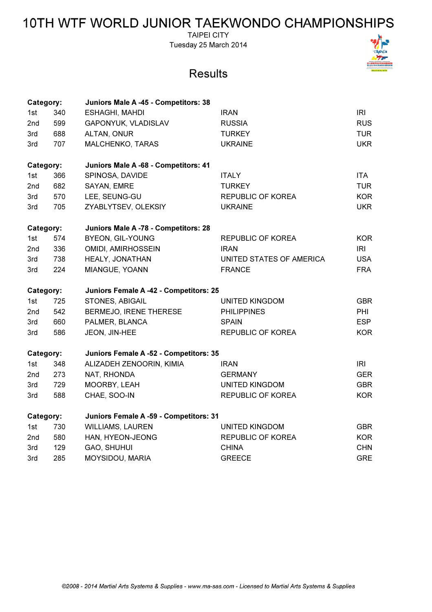TAIPEI CITY Tuesday 25 March 2014



| Category: |     | Juniors Male A -45 - Competitors: 38   |                          |            |
|-----------|-----|----------------------------------------|--------------------------|------------|
| 1st       | 340 | <b>ESHAGHI, MAHDI</b>                  | <b>IRAN</b>              | IRI        |
| 2nd       | 599 | GAPONYUK, VLADISLAV                    | <b>RUSSIA</b>            | <b>RUS</b> |
| 3rd       | 688 | ALTAN, ONUR                            | <b>TURKEY</b>            | <b>TUR</b> |
| 3rd       | 707 | MALCHENKO, TARAS                       | <b>UKRAINE</b>           | <b>UKR</b> |
| Category: |     | Juniors Male A -68 - Competitors: 41   |                          |            |
| 1st       | 366 | SPINOSA, DAVIDE                        | <b>ITALY</b>             | <b>ITA</b> |
| 2nd       | 682 | SAYAN, EMRE                            | <b>TURKEY</b>            | <b>TUR</b> |
| 3rd       | 570 | LEE, SEUNG-GU                          | REPUBLIC OF KOREA        | <b>KOR</b> |
| 3rd       | 705 | ZYABLYTSEV, OLEKSIY                    | <b>UKRAINE</b>           | <b>UKR</b> |
| Category: |     | Juniors Male A -78 - Competitors: 28   |                          |            |
| 1st       | 574 | <b>BYEON, GIL-YOUNG</b>                | REPUBLIC OF KOREA        | <b>KOR</b> |
| 2nd       | 336 | OMIDI, AMIRHOSSEIN                     | <b>IRAN</b>              | IRI        |
| 3rd       | 738 | HEALY, JONATHAN                        | UNITED STATES OF AMERICA | <b>USA</b> |
| 3rd       | 224 | MIANGUE, YOANN                         | <b>FRANCE</b>            | <b>FRA</b> |
| Category: |     | Juniors Female A -42 - Competitors: 25 |                          |            |
| 1st       | 725 | STONES, ABIGAIL                        | UNITED KINGDOM           | <b>GBR</b> |
| 2nd       | 542 | BERMEJO, IRENE THERESE                 | <b>PHILIPPINES</b>       | <b>PHI</b> |
| 3rd       | 660 | PALMER, BLANCA                         | <b>SPAIN</b>             | <b>ESP</b> |
| 3rd       | 586 | JEON, JIN-HEE                          | <b>REPUBLIC OF KOREA</b> | <b>KOR</b> |
| Category: |     | Juniors Female A -52 - Competitors: 35 |                          |            |
| 1st       | 348 | ALIZADEH ZENOORIN, KIMIA               | <b>IRAN</b>              | <b>IRI</b> |
| 2nd       | 273 | NAT, RHONDA                            | <b>GERMANY</b>           | <b>GER</b> |
| 3rd       | 729 | MOORBY, LEAH                           | <b>UNITED KINGDOM</b>    | <b>GBR</b> |
| 3rd       | 588 | CHAE, SOO-IN                           | <b>REPUBLIC OF KOREA</b> | <b>KOR</b> |
| Category: |     | Juniors Female A -59 - Competitors: 31 |                          |            |
| 1st       | 730 | <b>WILLIAMS, LAUREN</b>                | <b>UNITED KINGDOM</b>    | <b>GBR</b> |
| 2nd       | 580 | HAN, HYEON-JEONG                       | <b>REPUBLIC OF KOREA</b> | <b>KOR</b> |
| 3rd       | 129 | GAO, SHUHUI                            | <b>CHINA</b>             | <b>CHN</b> |
| 3rd       | 285 | MOYSIDOU, MARIA                        | <b>GREECE</b>            | <b>GRE</b> |